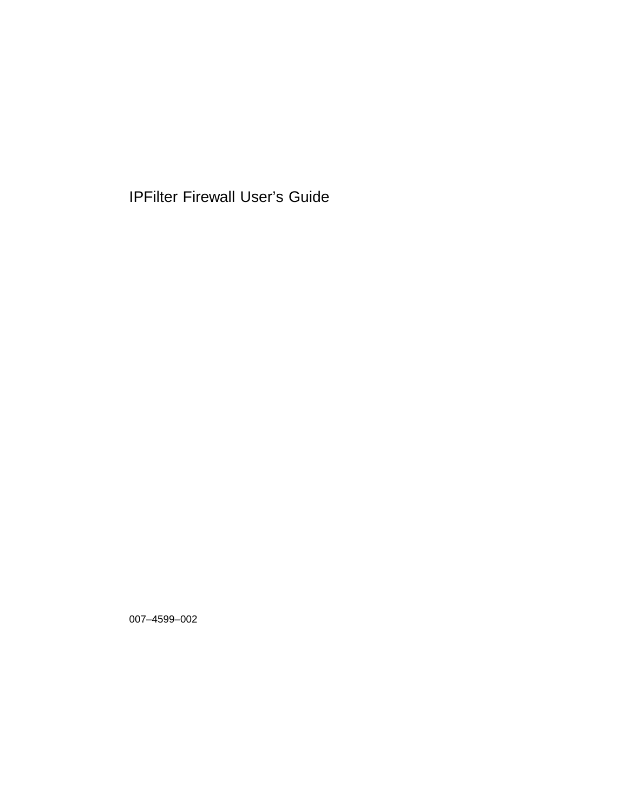IPFilter Firewall User's Guide

007–4599–002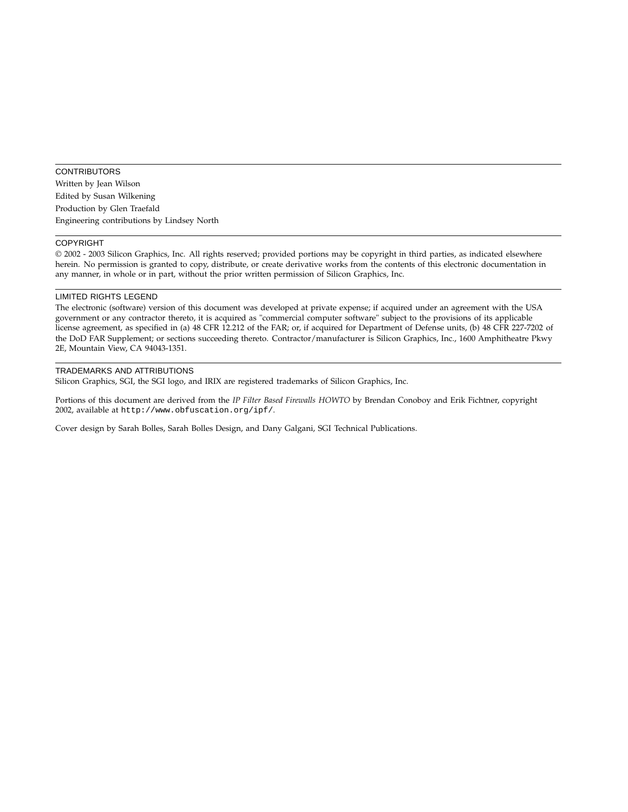#### **CONTRIBUTORS**

Written by Jean Wilson Edited by Susan Wilkening Production by Glen Traefald Engineering contributions by Lindsey North

#### COPYRIGHT

© 2002 - 2003 Silicon Graphics, Inc. All rights reserved; provided portions may be copyright in third parties, as indicated elsewhere herein. No permission is granted to copy, distribute, or create derivative works from the contents of this electronic documentation in any manner, in whole or in part, without the prior written permission of Silicon Graphics, Inc.

#### LIMITED RIGHTS LEGEND

The electronic (software) version of this document was developed at private expense; if acquired under an agreement with the USA government or any contractor thereto, it is acquired as "commercial computer software" subject to the provisions of its applicable license agreement, as specified in (a) 48 CFR 12.212 of the FAR; or, if acquired for Department of Defense units, (b) 48 CFR 227-7202 of the DoD FAR Supplement; or sections succeeding thereto. Contractor/manufacturer is Silicon Graphics, Inc., 1600 Amphitheatre Pkwy 2E, Mountain View, CA 94043-1351.

#### TRADEMARKS AND ATTRIBUTIONS

Silicon Graphics, SGI, the SGI logo, and IRIX are registered trademarks of Silicon Graphics, Inc.

Portions of this document are derived from the *IP Filter Based Firewalls HOWTO* by Brendan Conoboy and Erik Fichtner, copyright 2002, available at http://www.obfuscation.org/ipf/.

Cover design by Sarah Bolles, Sarah Bolles Design, and Dany Galgani, SGI Technical Publications.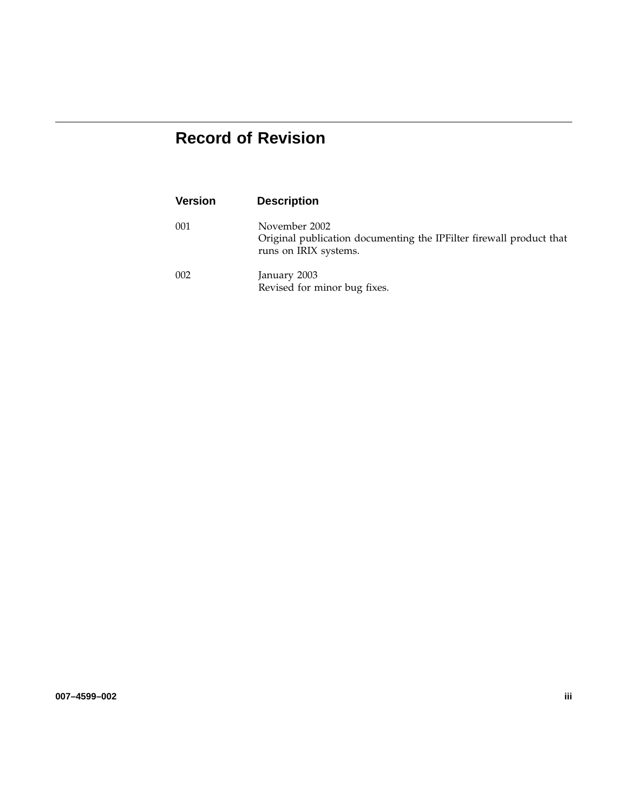# **Record of Revision**

| <b>Version</b> | <b>Description</b>                                                                                            |
|----------------|---------------------------------------------------------------------------------------------------------------|
| 001            | November 2002<br>Original publication documenting the IPFilter firewall product that<br>runs on IRIX systems. |
| 002            | January 2003<br>Revised for minor bug fixes.                                                                  |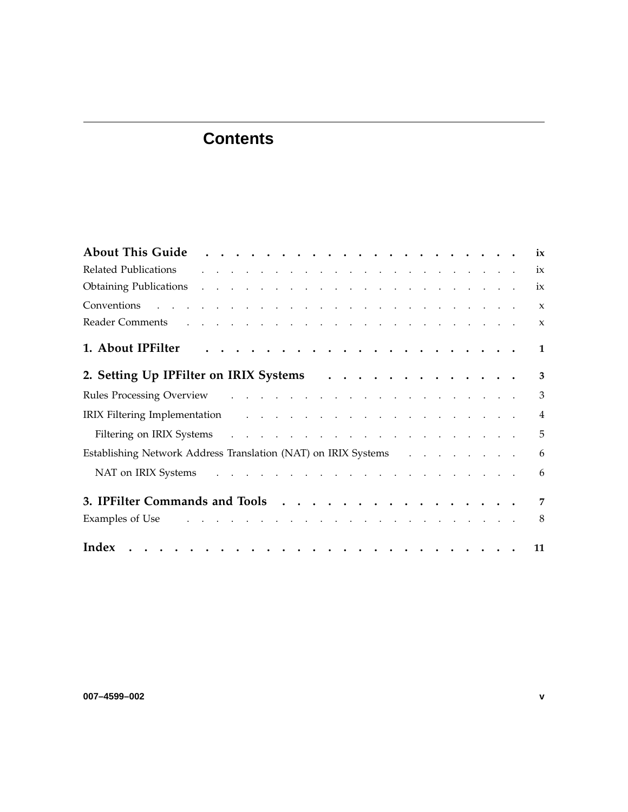# **Contents**

|                                                                                                                                                                                                                                |  | ix             |
|--------------------------------------------------------------------------------------------------------------------------------------------------------------------------------------------------------------------------------|--|----------------|
| and the contract of the contract of the contract of the contract of the contract of<br>Related Publications                                                                                                                    |  | ix             |
| Obtaining Publications and a series and a series of the series of the series of the series of the series of the series of the series of the series of the series of the series of the series of the series of the series of th |  | ix             |
|                                                                                                                                                                                                                                |  | $\mathbf{x}$   |
| Reader Comments and a subsequently and a subsequently contained a subsequently contained a subsequently contained a subsequently contained a subsequently contained a subsequently contained a subsequently contained a subseq |  | $\mathbf{x}$   |
|                                                                                                                                                                                                                                |  | 1              |
| 2. Setting Up IPFilter on IRIX Systems                                                                                                                                                                                         |  | 3              |
|                                                                                                                                                                                                                                |  | $\overline{3}$ |
| IRIX Filtering Implementation and a subset of the contract of the contract of the contract of the contract of the contract of the contract of the contract of the contract of the contract of the contract of the contract of  |  | $\overline{4}$ |
|                                                                                                                                                                                                                                |  | 5              |
| Establishing Network Address Translation (NAT) on IRIX Systems                                                                                                                                                                 |  | 6              |
| NAT on IRIX Systems and a contract that is a contract that is a contract of the RIX Systems and a contract of the contract of the RIX Systems                                                                                  |  | 6              |
| 3. IPFilter Commands and Tools                                                                                                                                                                                                 |  | $\overline{7}$ |
| Examples of Use the contract of the contract of the contract of the contract of the contract of the contract of the contract of the contract of the contract of the contract of the contract of the contract of the contract o |  | 8              |
| Index                                                                                                                                                                                                                          |  | 11             |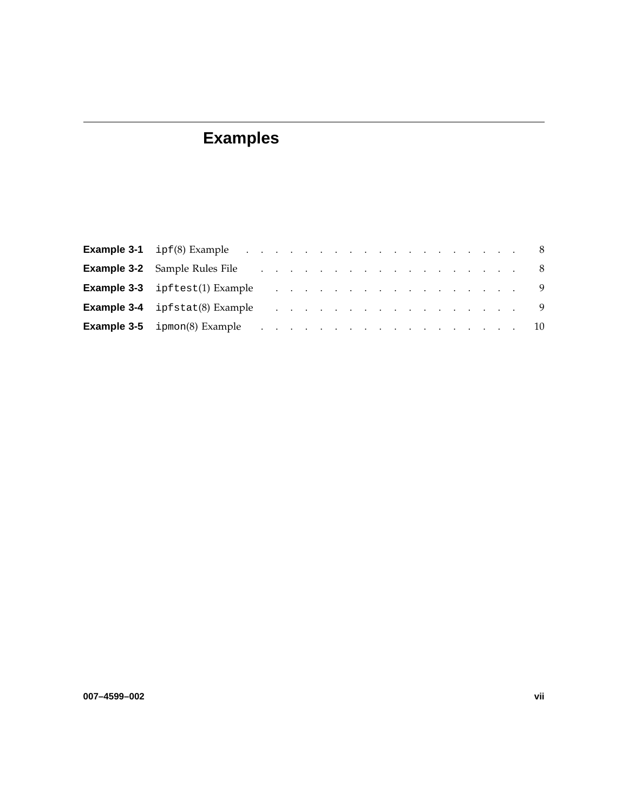# **Examples**

| <b>Example 3-2</b> Sample Rules File Albert Albert Albert Albert Albert Albert Albert Albert Albert Albert Albert Albert Albert Albert Albert Albert Albert Albert Albert Albert Albert Albert Albert Albert Albert Albert Albert A |  |  |  |  |  |  |  |  |  |  |
|-------------------------------------------------------------------------------------------------------------------------------------------------------------------------------------------------------------------------------------|--|--|--|--|--|--|--|--|--|--|
|                                                                                                                                                                                                                                     |  |  |  |  |  |  |  |  |  |  |
|                                                                                                                                                                                                                                     |  |  |  |  |  |  |  |  |  |  |
| <b>Example 3-5</b> ipmon(8) Example 10                                                                                                                                                                                              |  |  |  |  |  |  |  |  |  |  |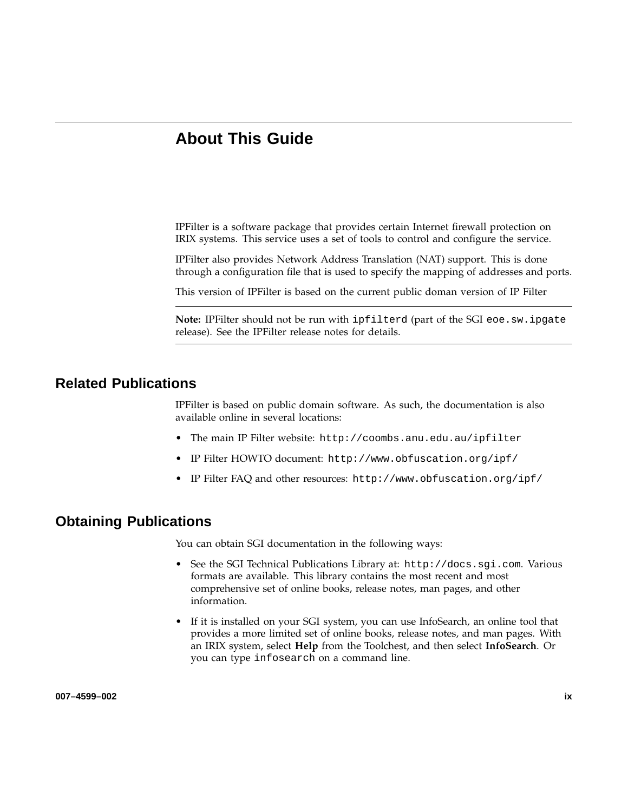# **About This Guide**

IPFilter is a software package that provides certain Internet firewall protection on IRIX systems. This service uses a set of tools to control and configure the service.

IPFilter also provides Network Address Translation (NAT) support. This is done through a configuration file that is used to specify the mapping of addresses and ports.

This version of IPFilter is based on the current public doman version of IP Filter

**Note:** IPFilter should not be run with ipfilterd (part of the SGI eoe.sw.ipgate release). See the IPFilter release notes for details.

## **Related Publications**

IPFilter is based on public domain software. As such, the documentation is also available online in several locations:

- The main IP Filter website: http://coombs.anu.edu.au/ipfilter
- IP Filter HOWTO document: http://www.obfuscation.org/ipf/
- IP Filter FAQ and other resources: http://www.obfuscation.org/ipf/

### **Obtaining Publications**

You can obtain SGI documentation in the following ways:

- See the SGI Technical Publications Library at: http://docs.sgi.com. Various formats are available. This library contains the most recent and most comprehensive set of online books, release notes, man pages, and other information.
- If it is installed on your SGI system, you can use InfoSearch, an online tool that provides a more limited set of online books, release notes, and man pages. With an IRIX system, select **Help** from the Toolchest, and then select **InfoSearch**. Or you can type infosearch on a command line.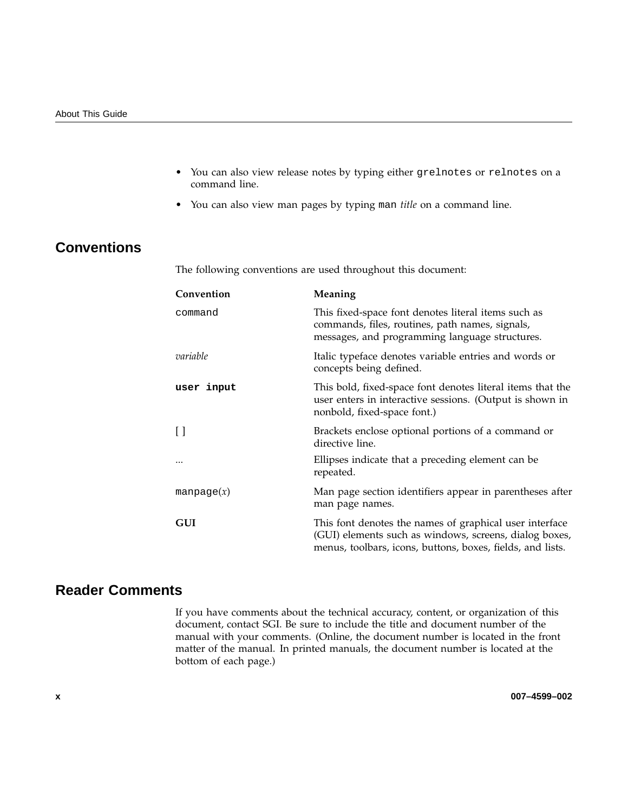- You can also view release notes by typing either grelnotes or relnotes on a command line.
- You can also view man pages by typing man *title* on a command line.

# **Conventions**

The following conventions are used throughout this document:

| Convention       | Meaning                                                                                                                                                                         |
|------------------|---------------------------------------------------------------------------------------------------------------------------------------------------------------------------------|
| command          | This fixed-space font denotes literal items such as<br>commands, files, routines, path names, signals,<br>messages, and programming language structures.                        |
| variable         | Italic typeface denotes variable entries and words or<br>concepts being defined.                                                                                                |
| user input       | This bold, fixed-space font denotes literal items that the<br>user enters in interactive sessions. (Output is shown in<br>nonbold, fixed-space font.)                           |
| $\Box$           | Brackets enclose optional portions of a command or<br>directive line.                                                                                                           |
| $\ddotsc$        | Ellipses indicate that a preceding element can be<br>repeated.                                                                                                                  |
| $m$ anpage $(x)$ | Man page section identifiers appear in parentheses after<br>man page names.                                                                                                     |
| GUI              | This font denotes the names of graphical user interface<br>(GUI) elements such as windows, screens, dialog boxes,<br>menus, toolbars, icons, buttons, boxes, fields, and lists. |

# **Reader Comments**

If you have comments about the technical accuracy, content, or organization of this document, contact SGI. Be sure to include the title and document number of the manual with your comments. (Online, the document number is located in the front matter of the manual. In printed manuals, the document number is located at the bottom of each page.)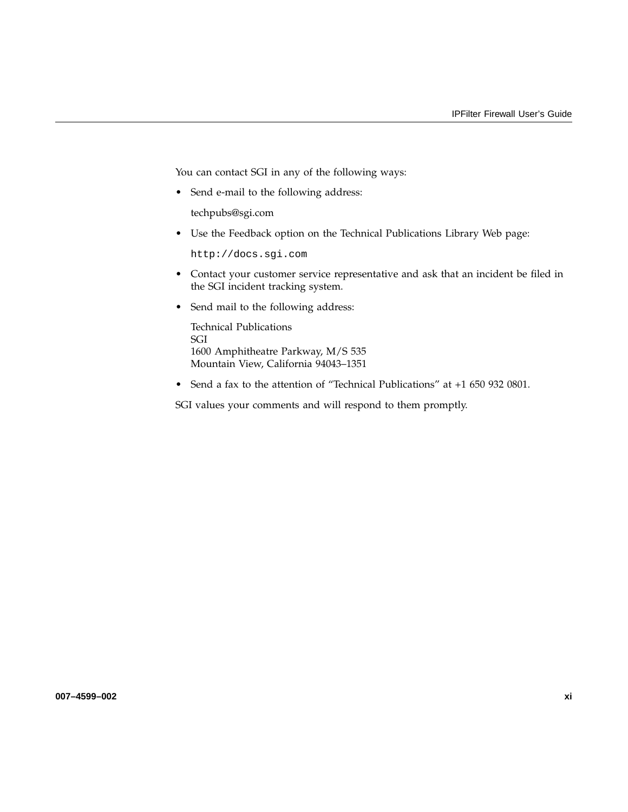You can contact SGI in any of the following ways:

• Send e-mail to the following address:

techpubs@sgi.com

• Use the Feedback option on the Technical Publications Library Web page:

http://docs.sgi.com

- Contact your customer service representative and ask that an incident be filed in the SGI incident tracking system.
- Send mail to the following address:

Technical Publications SGI 1600 Amphitheatre Parkway, M/S 535 Mountain View, California 94043–1351

• Send a fax to the attention of "Technical Publications" at +1 650 932 0801.

SGI values your comments and will respond to them promptly.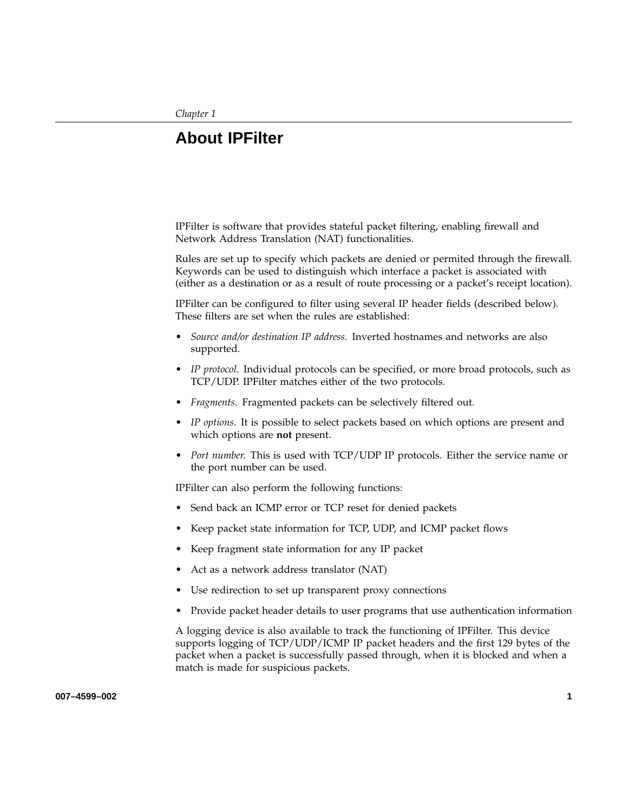*Chapter 1*

## **About IPFilter**

IPFilter is software that provides stateful packet filtering, enabling firewall and Network Address Translation (NAT) functionalities.

Rules are set up to specify which packets are denied or permited through the firewall. Keywords can be used to distinguish which interface a packet is associated with (either as a destination or as a result of route processing or a packet's receipt location).

IPFilter can be configured to filter using several IP header fields (described below). These filters are set when the rules are established:

- *Source and/or destination IP address.* Inverted hostnames and networks are also supported.
- *IP protocol*. Individual protocols can be specified, or more broad protocols, such as TCP/UDP. IPFilter matches either of the two protocols.
- *Fragments.* Fragmented packets can be selectively filtered out.
- *IP options*. It is possible to select packets based on which options are present and which options are **not** present.
- *Port number.* This is used with TCP/UDP IP protocols. Either the service name or the port number can be used.

IPFilter can also perform the following functions:

- Send back an ICMP error or TCP reset for denied packets
- Keep packet state information for TCP, UDP, and ICMP packet flows
- Keep fragment state information for any IP packet
- Act as a network address translator (NAT)
- Use redirection to set up transparent proxy connections
- Provide packet header details to user programs that use authentication information

A logging device is also available to track the functioning of IPFilter. This device supports logging of TCP/UDP/ICMP IP packet headers and the first 129 bytes of the packet when a packet is successfully passed through, when it is blocked and when a match is made for suspicious packets.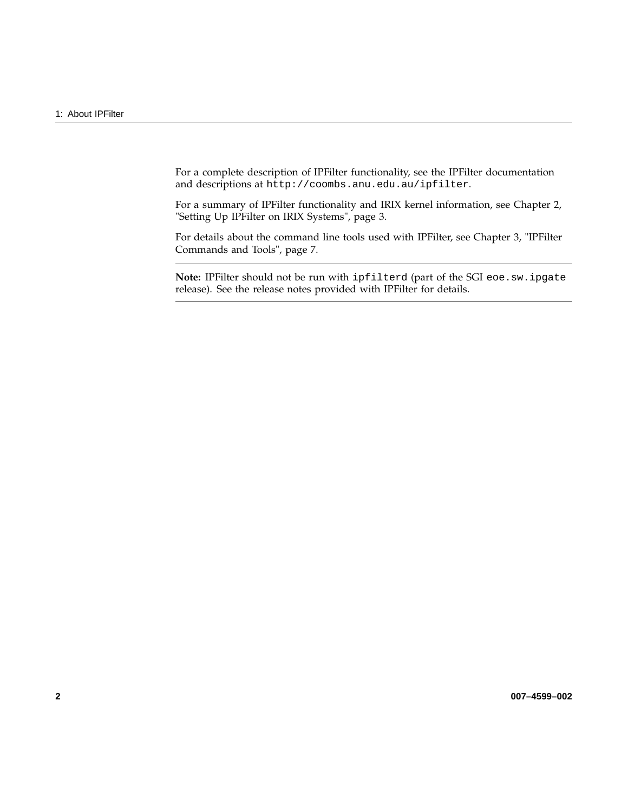For a complete description of IPFilter functionality, see the IPFilter documentation and descriptions at http://coombs.anu.edu.au/ipfilter.

For a summary of IPFilter functionality and IRIX kernel information, see Chapter 2, "Setting Up IPFilter on IRIX Systems", page 3.

For details about the command line tools used with IPFilter, see Chapter 3, "IPFilter Commands and Tools", page 7.

**Note:** IPFilter should not be run with ipfilterd (part of the SGI eoe.sw.ipgate release). See the release notes provided with IPFilter for details.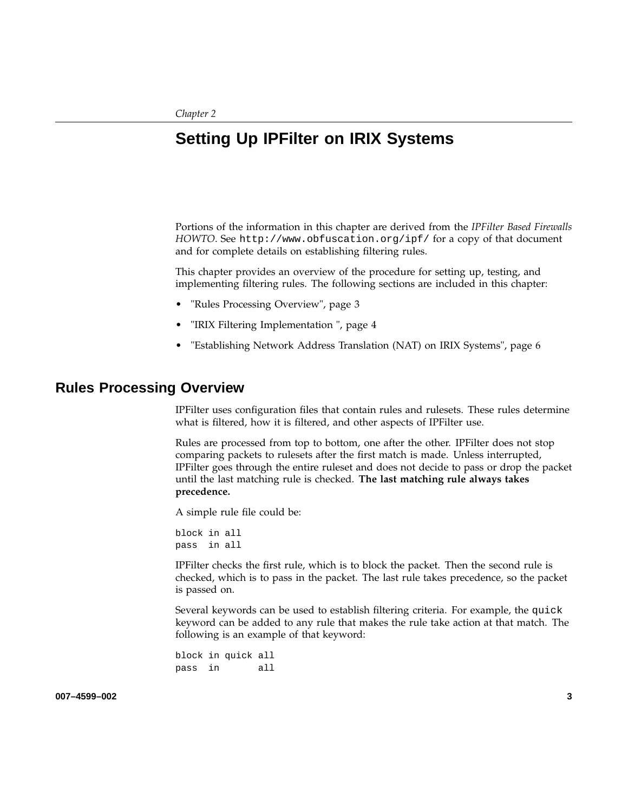# **Setting Up IPFilter on IRIX Systems**

Portions of the information in this chapter are derived from the *IPFilter Based Firewalls HOWTO*. See http://www.obfuscation.org/ipf/ for a copy of that document and for complete details on establishing filtering rules.

This chapter provides an overview of the procedure for setting up, testing, and implementing filtering rules. The following sections are included in this chapter:

- "Rules Processing Overview", page 3
- "IRIX Filtering Implementation ", page 4
- "Establishing Network Address Translation (NAT) on IRIX Systems", page 6

## **Rules Processing Overview**

IPFilter uses configuration files that contain rules and rulesets. These rules determine what is filtered, how it is filtered, and other aspects of IPFilter use.

Rules are processed from top to bottom, one after the other. IPFilter does not stop comparing packets to rulesets after the first match is made. Unless interrupted, IPFilter goes through the entire ruleset and does not decide to pass or drop the packet until the last matching rule is checked. **The last matching rule always takes precedence.**

A simple rule file could be:

block in all pass in all

IPFilter checks the first rule, which is to block the packet. Then the second rule is checked, which is to pass in the packet. The last rule takes precedence, so the packet is passed on.

Several keywords can be used to establish filtering criteria. For example, the quick keyword can be added to any rule that makes the rule take action at that match. The following is an example of that keyword:

block in quick all pass in all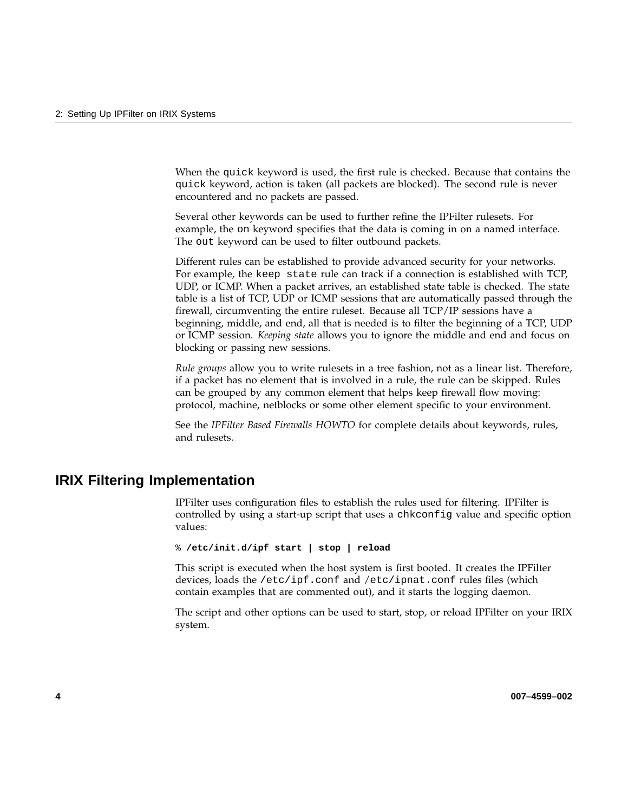When the quick keyword is used, the first rule is checked. Because that contains the quick keyword, action is taken (all packets are blocked). The second rule is never encountered and no packets are passed.

Several other keywords can be used to further refine the IPFilter rulesets. For example, the on keyword specifies that the data is coming in on a named interface. The out keyword can be used to filter outbound packets.

Different rules can be established to provide advanced security for your networks. For example, the keep state rule can track if a connection is established with TCP, UDP, or ICMP. When a packet arrives, an established state table is checked. The state table is a list of TCP, UDP or ICMP sessions that are automatically passed through the firewall, circumventing the entire ruleset. Because all TCP/IP sessions have a beginning, middle, and end, all that is needed is to filter the beginning of a TCP, UDP or ICMP session. *Keeping state* allows you to ignore the middle and end and focus on blocking or passing new sessions.

*Rule groups* allow you to write rulesets in a tree fashion, not as a linear list. Therefore, if a packet has no element that is involved in a rule, the rule can be skipped. Rules can be grouped by any common element that helps keep firewall flow moving: protocol, machine, netblocks or some other element specific to your environment.

See the *IPFilter Based Firewalls HOWTO* for complete details about keywords, rules, and rulesets.

## **IRIX Filtering Implementation**

IPFilter uses configuration files to establish the rules used for filtering. IPFilter is controlled by using a start-up script that uses a chkconfig value and specific option values:

% **/etc/init.d/ipf start | stop | reload**

This script is executed when the host system is first booted. It creates the IPFilter devices, loads the /etc/ipf.conf and /etc/ipnat.conf rules files (which contain examples that are commented out), and it starts the logging daemon.

The script and other options can be used to start, stop, or reload IPFilter on your IRIX system.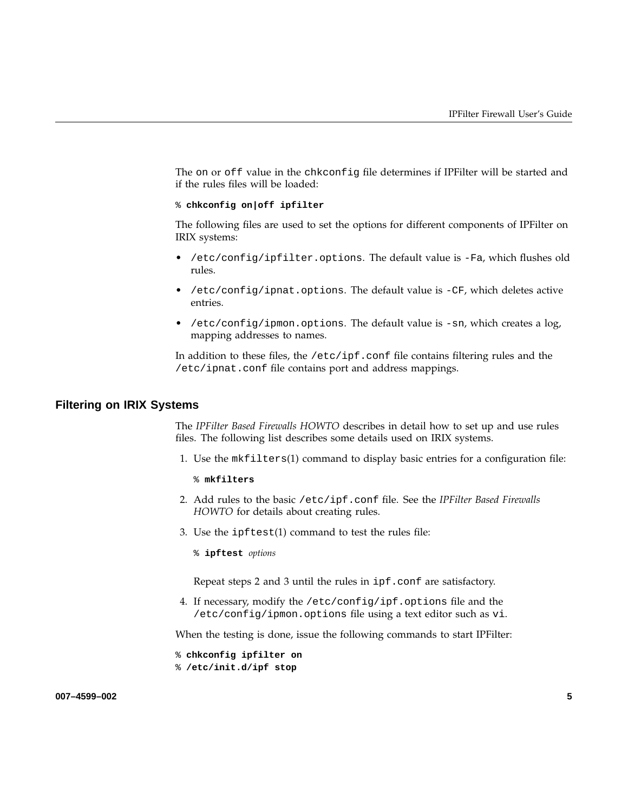The on or off value in the chkconfig file determines if IPFilter will be started and if the rules files will be loaded:

% **chkconfig on|off ipfilter**

The following files are used to set the options for different components of IPFilter on IRIX systems:

- /etc/config/ipfilter.options. The default value is -Fa, which flushes old rules.
- /etc/config/ipnat.options. The default value is -CF, which deletes active entries.
- /etc/config/ipmon.options. The default value is -sn, which creates a log, mapping addresses to names.

In addition to these files, the /etc/ipf.conf file contains filtering rules and the /etc/ipnat.conf file contains port and address mappings.

### **Filtering on IRIX Systems**

The *IPFilter Based Firewalls HOWTO* describes in detail how to set up and use rules files. The following list describes some details used on IRIX systems.

- 1. Use the mkfilters(1) command to display basic entries for a configuration file:
	- % **mkfilters**
- 2. Add rules to the basic /etc/ipf.conf file. See the *IPFilter Based Firewalls HOWTO* for details about creating rules.
- 3. Use the ipftest(1) command to test the rules file:
	- % **ipftest** *options*

Repeat steps 2 and 3 until the rules in ipf.conf are satisfactory.

4. If necessary, modify the /etc/config/ipf.options file and the /etc/config/ipmon.options file using a text editor such as vi.

When the testing is done, issue the following commands to start IPFilter:

% **chkconfig ipfilter on** % **/etc/init.d/ipf stop**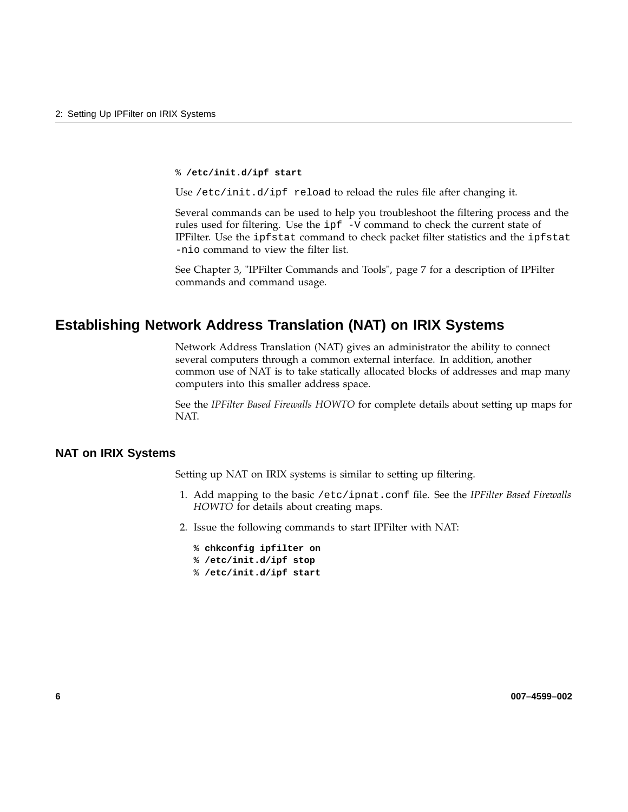#### % **/etc/init.d/ipf start**

Use /etc/init.d/ipf reload to reload the rules file after changing it.

Several commands can be used to help you troubleshoot the filtering process and the rules used for filtering. Use the ipf -V command to check the current state of IPFilter. Use the ipfstat command to check packet filter statistics and the ipfstat -nio command to view the filter list.

See Chapter 3, "IPFilter Commands and Tools", page 7 for a description of IPFilter commands and command usage.

## **Establishing Network Address Translation (NAT) on IRIX Systems**

Network Address Translation (NAT) gives an administrator the ability to connect several computers through a common external interface. In addition, another common use of NAT is to take statically allocated blocks of addresses and map many computers into this smaller address space.

See the *IPFilter Based Firewalls HOWTO* for complete details about setting up maps for NAT.

### **NAT on IRIX Systems**

Setting up NAT on IRIX systems is similar to setting up filtering.

- 1. Add mapping to the basic /etc/ipnat.conf file. See the *IPFilter Based Firewalls HOWTO* for details about creating maps.
- 2. Issue the following commands to start IPFilter with NAT:
	- % **chkconfig ipfilter on** % **/etc/init.d/ipf stop** % **/etc/init.d/ipf start**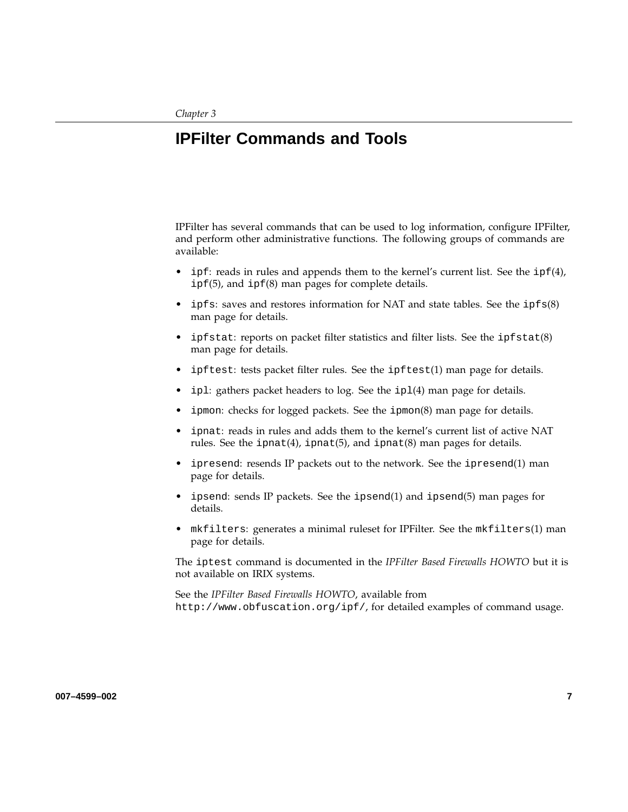# **IPFilter Commands and Tools**

IPFilter has several commands that can be used to log information, configure IPFilter, and perform other administrative functions. The following groups of commands are available:

- ipf: reads in rules and appends them to the kernel's current list. See the  $ipf(4)$ , ipf(5), and ipf(8) man pages for complete details.
- ipfs: saves and restores information for NAT and state tables. See the ipfs(8) man page for details.
- ipfstat: reports on packet filter statistics and filter lists. See the ipfstat(8) man page for details.
- ipftest: tests packet filter rules. See the ipftest(1) man page for details.
- ipl: gathers packet headers to log. See the ipl(4) man page for details.
- ipmon: checks for logged packets. See the ipmon(8) man page for details.
- ipnat: reads in rules and adds them to the kernel's current list of active NAT rules. See the ipnat(4), ipnat(5), and ipnat(8) man pages for details.
- ipresend: resends IP packets out to the network. See the ipresend(1) man page for details.
- ipsend: sends IP packets. See the ipsend(1) and ipsend(5) man pages for details.
- mkfilters: generates a minimal ruleset for IPFilter. See the mkfilters(1) man page for details.

The iptest command is documented in the *IPFilter Based Firewalls HOWTO* but it is not available on IRIX systems.

See the *IPFilter Based Firewalls HOWTO*, available from http://www.obfuscation.org/ipf/, for detailed examples of command usage.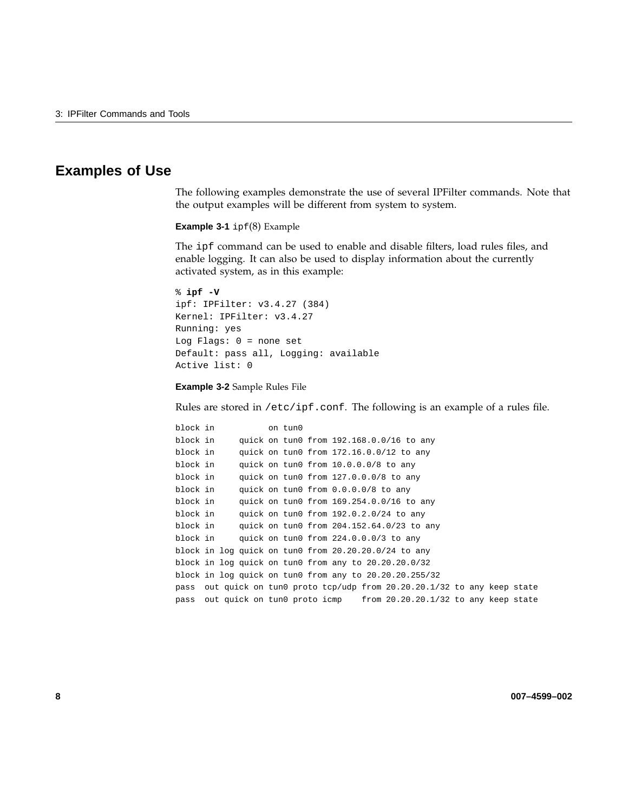## **Examples of Use**

The following examples demonstrate the use of several IPFilter commands. Note that the output examples will be different from system to system.

**Example 3-1** ipf(8) Example

The ipf command can be used to enable and disable filters, load rules files, and enable logging. It can also be used to display information about the currently activated system, as in this example:

```
% ipf -V
ipf: IPFilter: v3.4.27 (384)
Kernel: IPFilter: v3.4.27
Running: yes
Log Flags: 0 = none set
Default: pass all, Logging: available
Active list: 0
```
**Example 3-2** Sample Rules File

Rules are stored in /etc/ipf.conf. The following is an example of a rules file.

```
block in on tun0
block in quick on tun0 from 192.168.0.0/16 to any
block in quick on tun0 from 172.16.0.0/12 to any
block in quick on tun0 from 10.0.0.0/8 to any
block in quick on tun0 from 127.0.0.0/8 to any
block in quick on tun0 from 0.0.0.0/8 to any
block in quick on tun0 from 169.254.0.0/16 to any
block in quick on tun0 from 192.0.2.0/24 to any
block in quick on tun0 from 204.152.64.0/23 to any
block in quick on tun0 from 224.0.0.0/3 to any
block in log quick on tun0 from 20.20.20.0/24 to any
block in log quick on tun0 from any to 20.20.20.0/32
block in log quick on tun0 from any to 20.20.20.255/32
pass out quick on tun0 proto tcp/udp from 20.20.20.1/32 to any keep state
pass out quick on tun0 proto icmp from 20.20.20.1/32 to any keep state
```
**8 007–4599–002**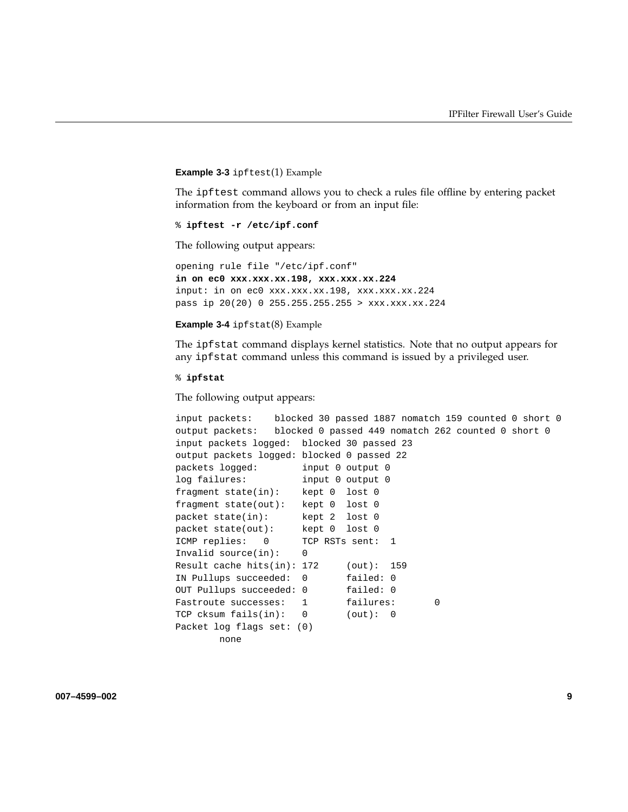#### **Example 3-3** ipftest(1) Example

The ipftest command allows you to check a rules file offline by entering packet information from the keyboard or from an input file:

```
% ipftest -r /etc/ipf.conf
```
The following output appears:

```
opening rule file "/etc/ipf.conf"
in on ec0 xxx.xxx.xx.198, xxx.xxx.xx.224
input: in on ec0 xxx.xxx.xx.198, xxx.xxx.xx.224
pass ip 20(20) 0 255.255.255.255 > xxx.xxx.xx.224
```
#### **Example 3-4** ipfstat(8) Example

The ipfstat command displays kernel statistics. Note that no output appears for any ipfstat command unless this command is issued by a privileged user.

#### % **ipfstat**

The following output appears:

```
input packets: blocked 30 passed 1887 nomatch 159 counted 0 short 0
output packets: blocked 0 passed 449 nomatch 262 counted 0 short 0
input packets logged: blocked 30 passed 23
output packets logged: blocked 0 passed 22
packets logged: input 0 output 0
log failures: input 0 output 0
fragment state(in): kept 0 lost 0
fragment state(out): kept 0 lost 0
packet state(in): kept 2 lost 0
packet state(out): kept 0 lost 0
ICMP replies: 0 TCP RSTs sent: 1
Invalid source(in): 0
Result cache hits(in): 172 (out): 159
IN Pullups succeeded: 0 failed: 0
OUT Pullups succeeded: 0 failed: 0
Fastroute successes: 1 failures: 0
TCP cksum fails(in): 0 (out): 0
Packet log flags set: (0)
       none
```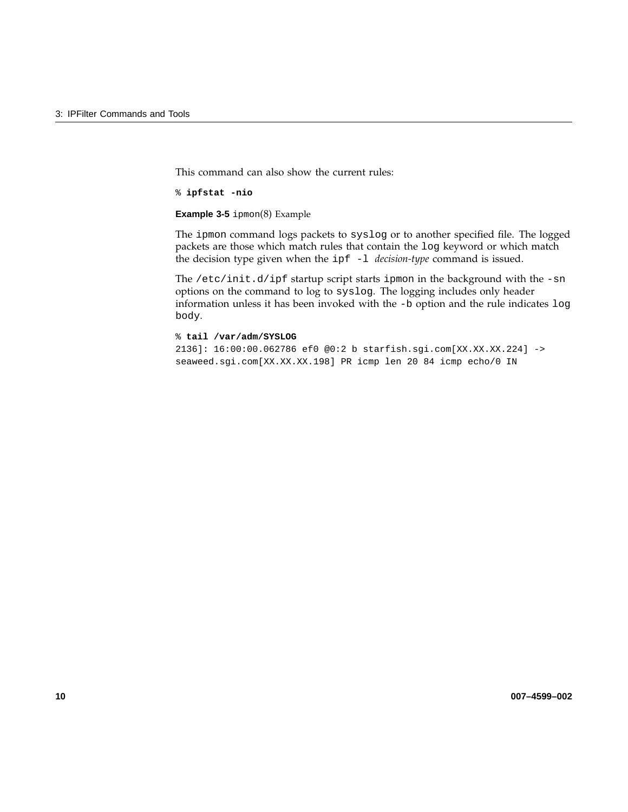This command can also show the current rules:

% **ipfstat -nio**

**Example 3-5** ipmon(8) Example

The ipmon command logs packets to syslog or to another specified file. The logged packets are those which match rules that contain the log keyword or which match the decision type given when the ipf -l *decision-type* command is issued.

The /etc/init.d/ipf startup script starts ipmon in the background with the -sn options on the command to log to syslog. The logging includes only header information unless it has been invoked with the -b option and the rule indicates log body.

% **tail /var/adm/SYSLOG** 2136]: 16:00:00.062786 ef0 @0:2 b starfish.sgi.com[XX.XX.XX.224] -> seaweed.sgi.com[XX.XX.XX.198] PR icmp len 20 84 icmp echo/0 IN